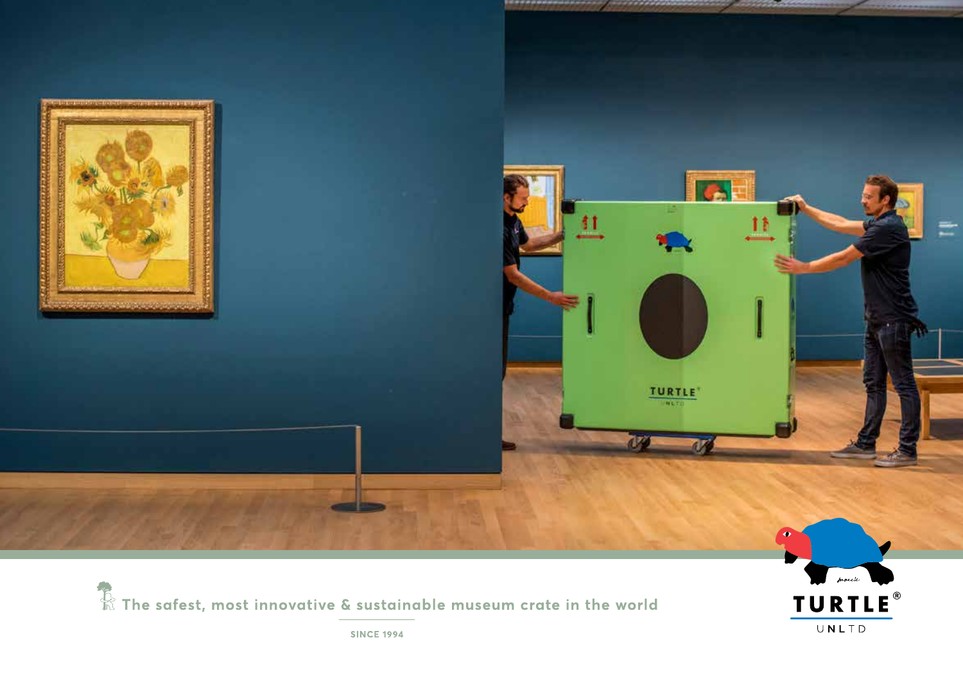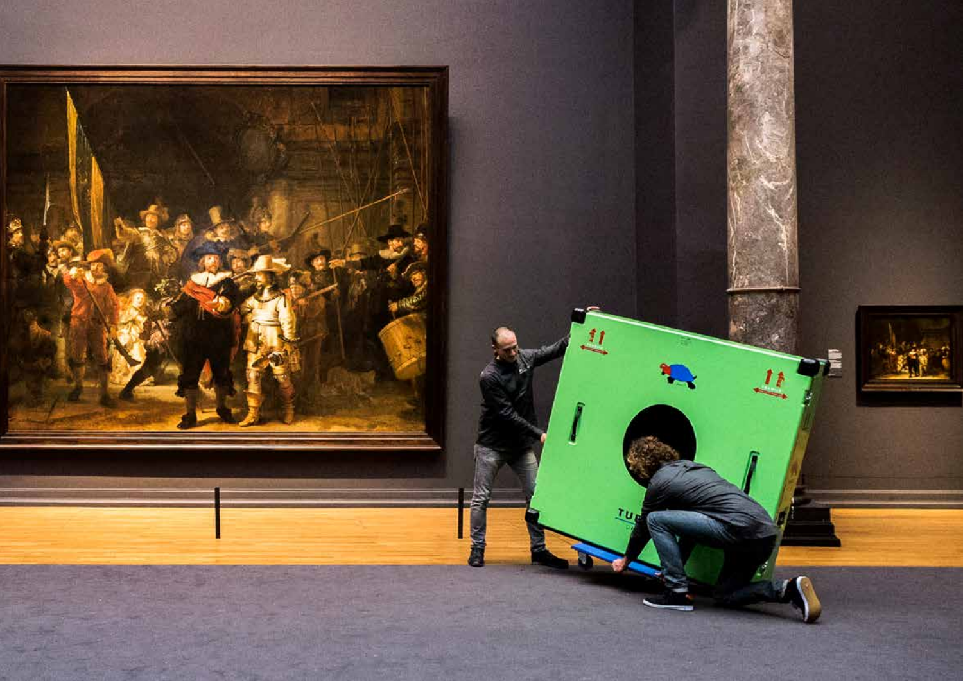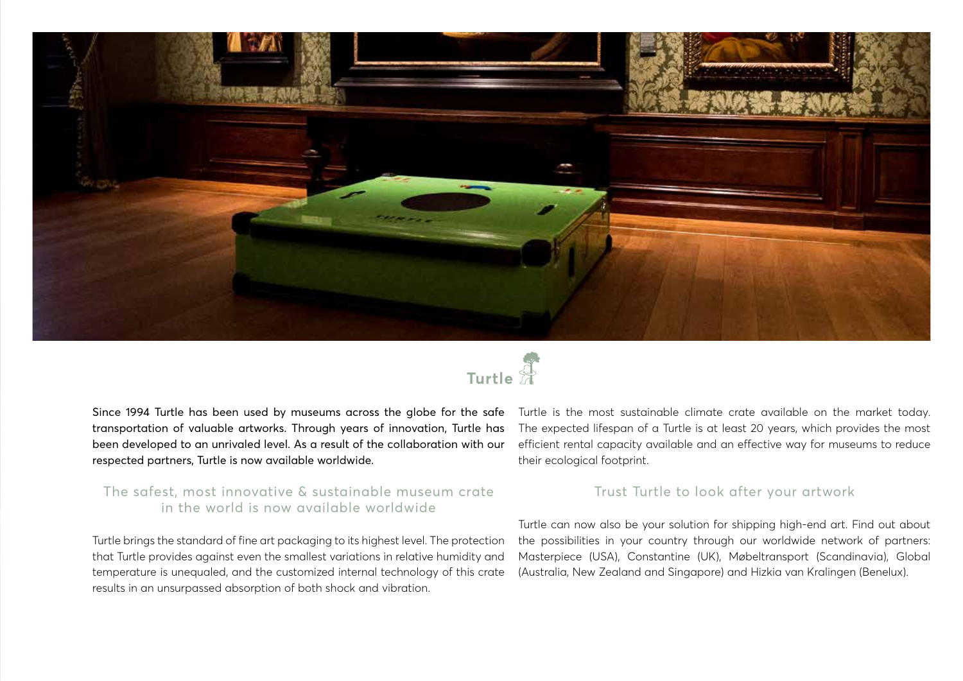



transportation of valuable artworks. Through years of innovation, Turtle has been developed to an unrivaled level. As a result of the collaboration with our respected partners, Turtle is now available worldwide.

## The safest, most innovative & sustainable museum crate in the world is now available worldwide

Turtle brings the standard of fine art packaging to its highest level. The protection that Turtle provides against even the smallest variations in relative humidity and temperature is unequaled, and the customized internal technology of this crate results in an unsurpassed absorption of both shock and vibration.

Since 1994 Turtle has been used by museums across the globe for the safe Turtle is the most sustainable climate crate available on the market today. The expected lifespan of a Turtle is at least 20 years, which provides the most efficient rental capacity available and an effective way for museums to reduce their ecological footprint.

## Trust Turtle to look after your artwork

Turtle can now also be your solution for shipping high-end art. Find out about the possibilities in your country through our worldwide network of partners: Masterpiece (USA), Constantine (UK), Møbeltransport (Scandinavia), Global (Australia, New Zealand and Singapore) and Hizkia van Kralingen (Benelux).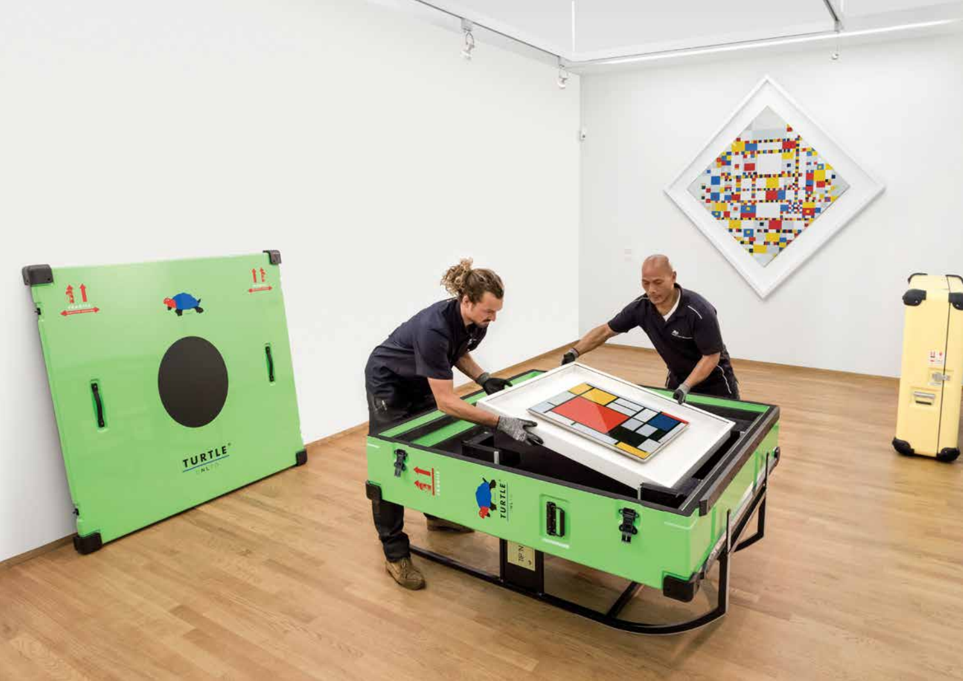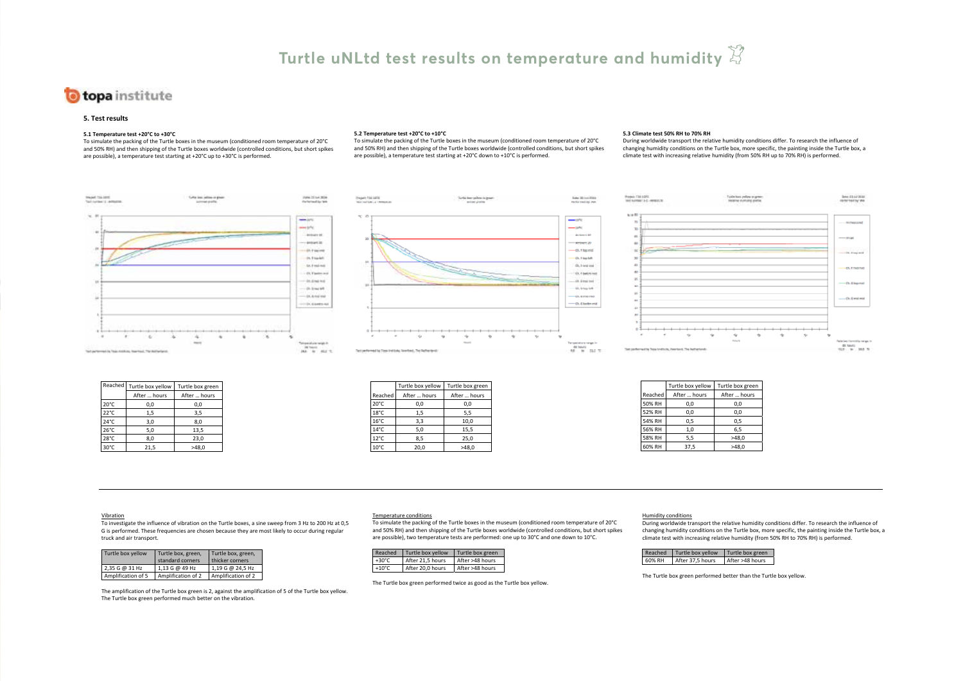# **Turtle uNLtd test results on temperature and humidity**

# DRAFT CONTRACTOR CONTRACTOR

#### **5. Test results**

#### **5.1 Temperature test +20°C to +30°C**  de de la companya de la companya de la companya de la companya de la companya de la companya de la companya de<br>Desenvolver de la companya de la companya de la companya de la companya de la companya de la companya de la co

To simulate the packing of the Turtle boxes in the museum (conditioned room temperature of 20°C In simulate the packing of the Turtle boxes in the museum (conditioned foom temperature of 20 C<br>and 50% RH) and then shipping of the Turtle boxes worldwide (controlled conditions, but short spikes are possible), a temperature test starting at +20°C up to +30°C is performed.<br>**Distances** 

#### **5.2 Temperature test +20°C to +10°C**

To simulate the packing of the Turtle boxes in the museum (conditioned room temperature of 20°C To simulate the packing of the Turtle boxes in the museum (conditioned room temperature of 20°C<br>and 50% RH) and then shipping of the Turtle boxes worldwide (controlled conditions, but short spikes are possible), a temperature test starting at +20°C down to +10°C is performed.

#### **5.3 Climate test 50% RH to 70% RH**

During worldwide transport the relative humidity conditions differ. To research the influence of<br>changing humidity conditions on the Turtle box, more specific, the painting inside the Turtle box, a **5.3 Climate test 50% RH to 70% RH**  During worldwide transport the relative humidity conditions differ. To research the influence of climate test with increasing relative humidity (from 50% RH up to 70% RH) is performed.



#### $22^{\circ}$ C | 1.5 | 3.5 |  $\frac{26^{\circ}C}{28^{\circ}C}$  5,0  $20C$   $0,0$   $25,0$  $30^{\circ}$  conditions on the Turtle box, more specific, the painting inside the painting inside the Turtle box, and a specific, the painting installation of Turtle box, and a specific, the painting installation of Turtle bo  $T_{\rm max}$  and data of the temperature temperature temperature temperature temperature temperature temperature temperature temperature temperature temperature temperature temperature temperature temperature temperature temp 22°C 1,5 3,5 24°C 3,0 8,0  $26^\circ C$  $T_{\rm max}$  and data of the temperature temperature temperature temperature temperature temperature temperature temperature temperature temperature temperature temperature temperature temperature temperature temperature temp 13.5  $23.0$ 30°C 21,5 >48,0

|                | Turtle box yellow | Turtle box green |
|----------------|-------------------|------------------|
| Reached        | After  hours      | After  hours     |
| $20^{\circ}$ C | 0,0               | 0,0              |
| $18^{\circ}$ C | 1,5               | 5,5              |
| $16^{\circ}$ C | 3,3               | 10,0             |
| $14^{\circ}$ C | 5,0               | 15,5             |
| $12^{\circ}$ C | 8,5               | 25,0             |
| $10^{\circ}$ C | 20,0              | >48,0            |

|         | Turtle box yellow | Turtle box green |
|---------|-------------------|------------------|
| Reached | After  hours      | After  hours     |
| 50% RH  | 0,0               | 0,0              |
| 52% RH  | 0,0               | 0,0              |
| 54% RH  | 0, 5              | 0,5              |
| 56% RH  | 1,0               | 6,5              |
| 58% RH  | 5,5               | >48,0            |
| 60% RH  | 37,5              | >48,0            |

### Vibration

To investigate the influence of vibration on the Turtle boxes, a sine sweep from 3 Hz to 200 Hz at 0,5 G is performed. These frequencies are chosen because they are most likely to occur during regular truck and air transport.

| Turtle box vellow  | Turtle box, green. | Turtle box, green. |
|--------------------|--------------------|--------------------|
|                    | standard corners   | thicker corners    |
| 2.35 G @ 31 Hz     | 1.13 G @ 49 Hz     | 1.19 G @ 24.5 Hz   |
| Amplification of 5 | Amplification of 2 | Amplification of 2 |

The amplification of the Turtle box green is 2, against the amplification of 5 of the Turtle box yellow. The Turtle box green performed much better on the vibration.

## **2.2 Conclusions**  Temperature conditions

vibration and drop.

are possible), two temperature tests are performed: one up to 30°C and one down to 10°C. To simulate the packing of the Turtle boxes in the museum (conditioned room temperature of 20°C and 50% RH) and then shipping of the Turtle boxes worldwide (controlled conditions, but short spikes

| Reached         | Turtle box vellow | Turtle box green |
|-----------------|-------------------|------------------|
| $+30^{\circ}$ C | After 21.5 hours  | After >48 hours  |
| $+10^{\circ}$ C | After 20.0 hours  | After >48 hours  |

The Turtle box green performed twice as good as the Turtle box yellow.

#### Humidity conditions

During worldwide transport the relative humidity conditions differ. To research the influence of changing humidity conditions on the Turtle box, more specific, the painting inside the Turtle box, a climate test with increasing relative humidity (from 50% RH to 70% RH) is performed.

| Reached | Turtle box vellow | Turtle box green |
|---------|-------------------|------------------|
| 60% RH  | After 37.5 hours  | After >48 hours  |

The Turtle box green performed better than the Turtle box yellow.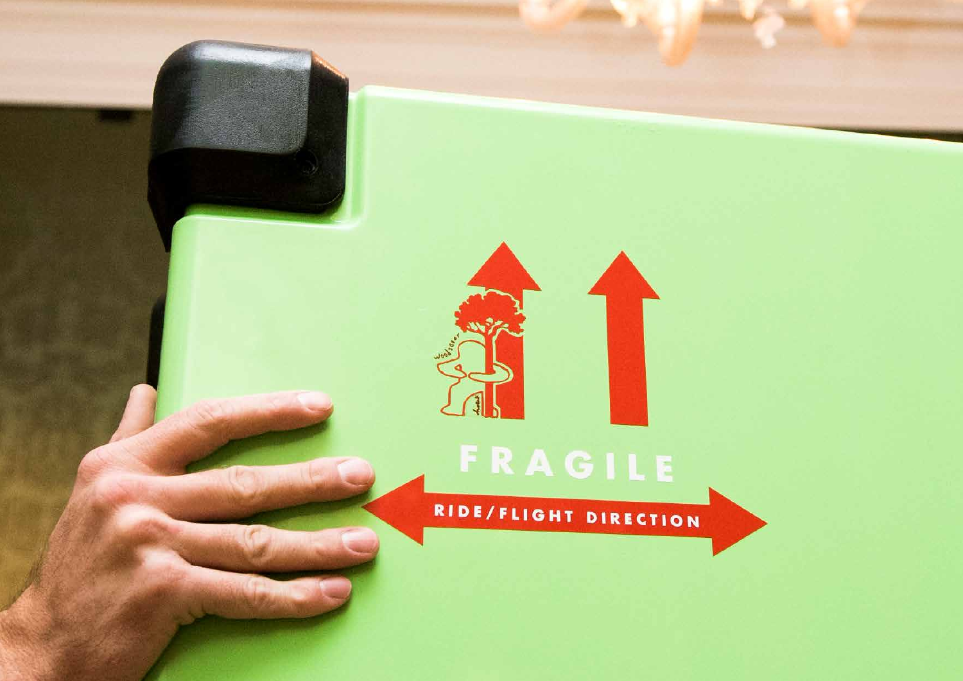

# FRAGILE

RIDE/FLIGHT DIRECTION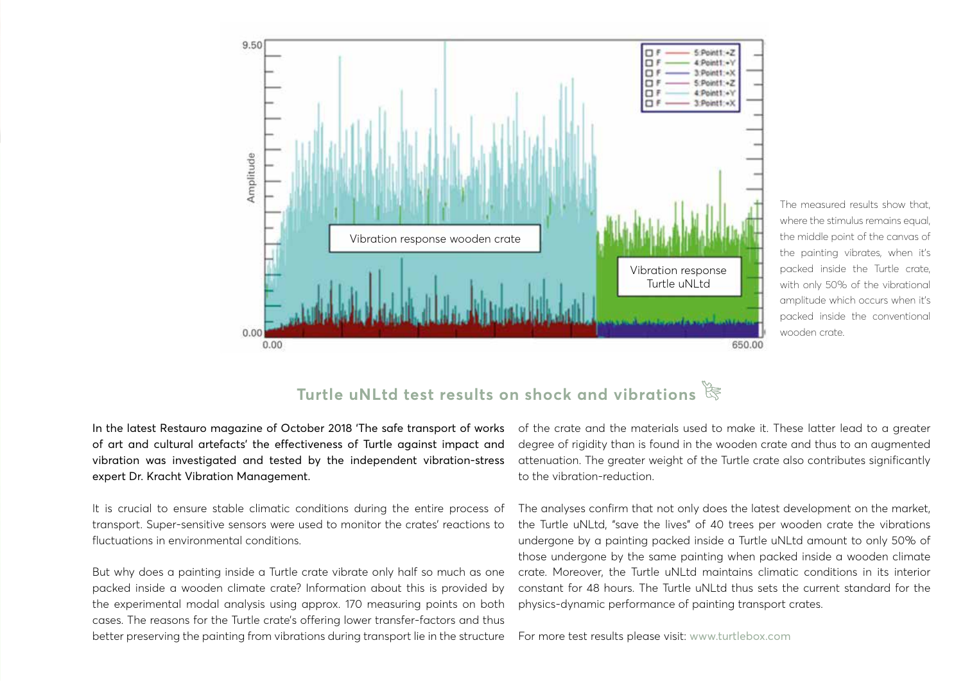

The measured results show that where the stimulus remains equal, the middle point of the canvas of the painting vibrates, when it's packed inside the Turtle crate, with only 50% of the vibrational amplitude which occurs when it's packed inside the conventional wooden crate.

# **Turtle uNLtd test results on shock and vibrations**

In the latest Restauro magazine of October 2018 'The safe transport of works of art and cultural artefacts' the effectiveness of Turtle against impact and vibration was investigated and tested by the independent vibration-stress expert Dr. Kracht Vibration Management.

It is crucial to ensure stable climatic conditions during the entire process of transport. Super-sensitive sensors were used to monitor the crates' reactions to fluctuations in environmental conditions.

But why does a painting inside a Turtle crate vibrate only half so much as one packed inside a wooden climate crate? Information about this is provided by the experimental modal analysis using approx. 170 measuring points on both cases. The reasons for the Turtle crate's offering lower transfer-factors and thus better preserving the painting from vibrations during transport lie in the structure

of the crate and the materials used to make it. These latter lead to a greater degree of rigidity than is found in the wooden crate and thus to an augmented attenuation. The greater weight of the Turtle crate also contributes significantly to the vibration-reduction.

The analyses confirm that not only does the latest development on the market, the Turtle uNLtd, "save the lives" of 40 trees per wooden crate the vibrations undergone by a painting packed inside a Turtle uNLtd amount to only 50% of those undergone by the same painting when packed inside a wooden climate crate. Moreover, the Turtle uNLtd maintains climatic conditions in its interior constant for 48 hours. The Turtle uNLtd thus sets the current standard for the physics-dynamic performance of painting transport crates.

For more test results please visit: www.turtlebox.com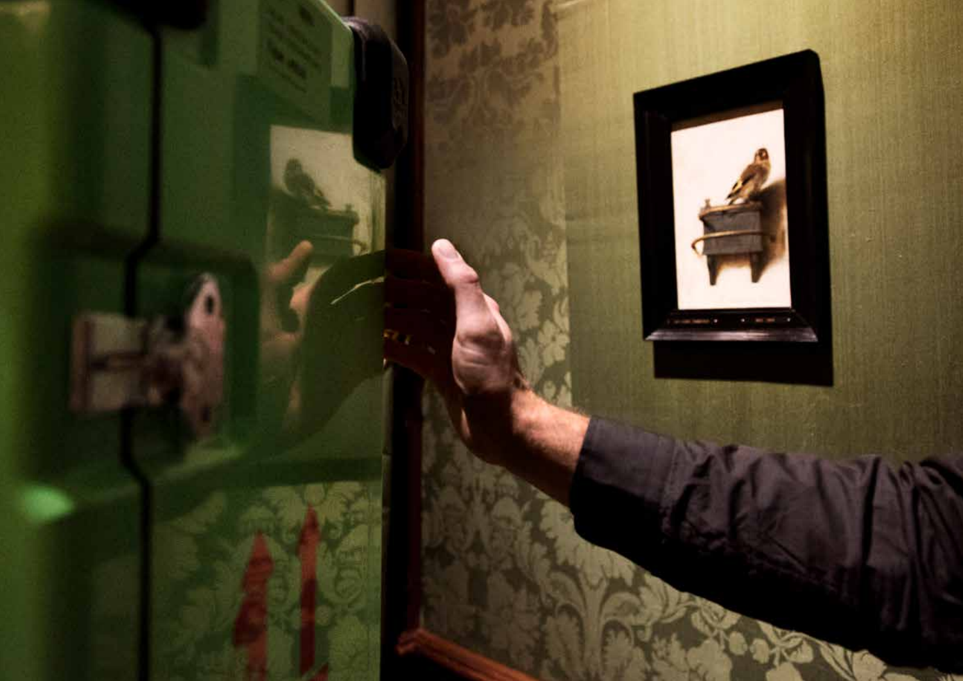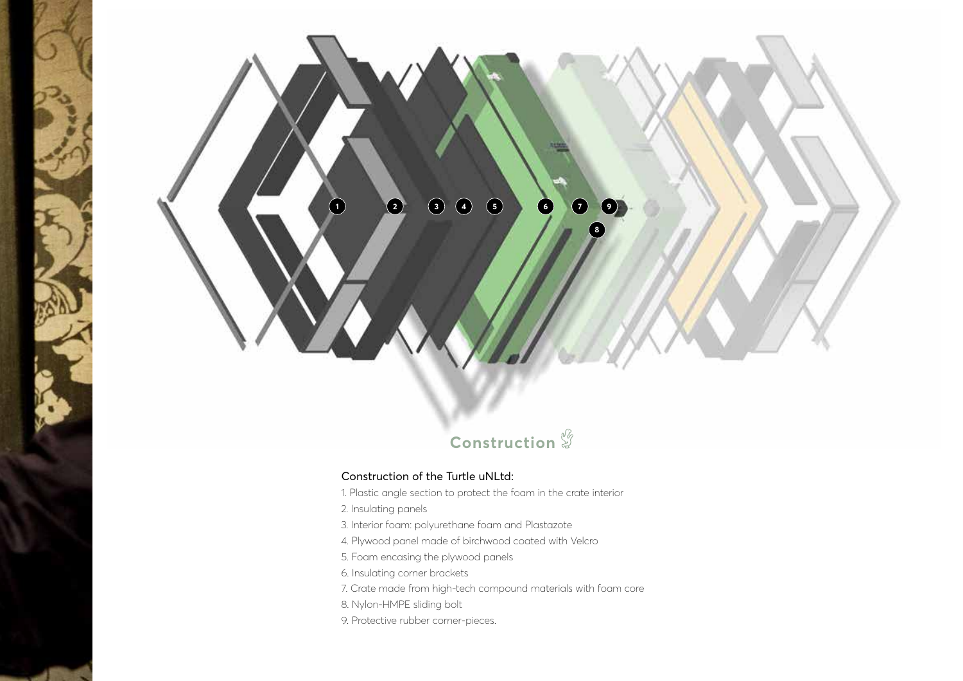# **1 2 3 4 5 6 7 9 8**

# **Construction**

## Construction of the Turtle uNLtd:

- 1. Plastic angle section to protect the foam in the crate interior
- 2. Insulating panels
- 3. Interior foam: polyurethane foam and Plastazote
- 4. Plywood panel made of birchwood coated with Velcro
- 5. Foam encasing the plywood panels
- 6. Insulating corner brackets
- 7. Crate made from high-tech compound materials with foam core
- 8. Nylon-HMPE sliding bolt
- 9. Protective rubber corner-pieces.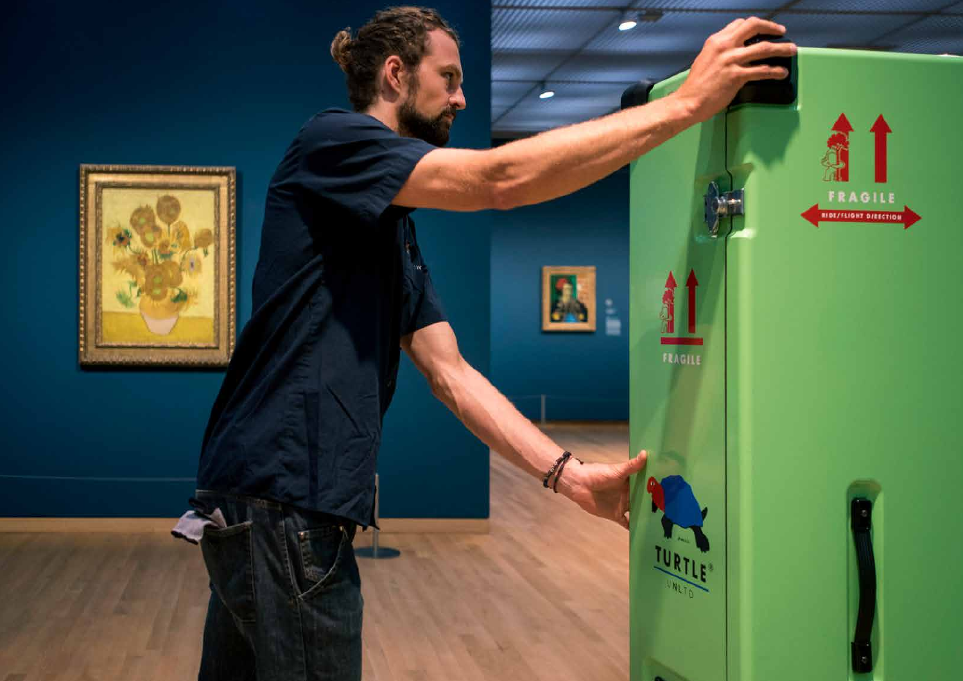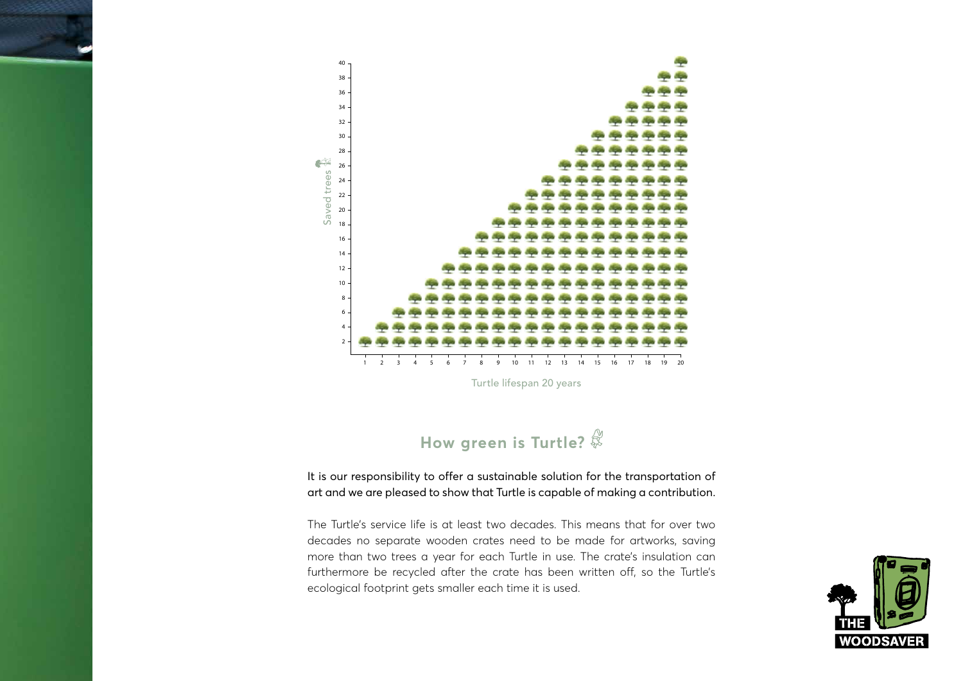

**Turtle lifespan 20 years** Turtle lifespan 20 years

# **How green is Turtle?**

It is our responsibility to offer a sustainable solution for the transportation of art and we are pleased to show that Turtle is capable of making a contribution.

The Turtle's service life is at least two decades. This means that for over two decades no separate wooden crates need to be made for artworks, saving more than two trees a year for each Turtle in use. The crate's insulation can furthermore be recycled after the crate has been written off, so the Turtle's ecological footprint gets smaller each time it is used.